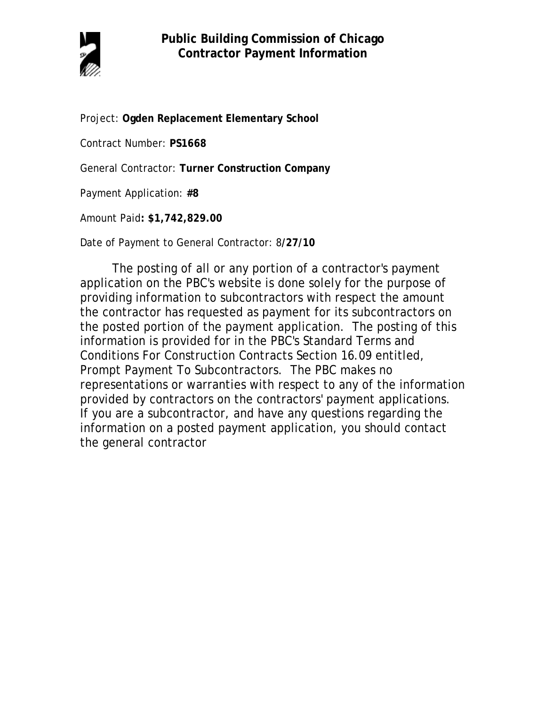

Project: **Ogden Replacement Elementary School**

Contract Number: **PS1668**

General Contractor: **Turner Construction Company**

Payment Application: **#8**

Amount Paid**: \$1,742,829.00** 

Date of Payment to General Contractor: 8**/27/10**

The posting of all or any portion of a contractor's payment application on the PBC's website is done solely for the purpose of providing information to subcontractors with respect the amount the contractor has requested as payment for its subcontractors on the posted portion of the payment application. The posting of this information is provided for in the PBC's Standard Terms and Conditions For Construction Contracts Section 16.09 entitled, Prompt Payment To Subcontractors. The PBC makes no representations or warranties with respect to any of the information provided by contractors on the contractors' payment applications. If you are a subcontractor, and have any questions regarding the information on a posted payment application, you should contact the general contractor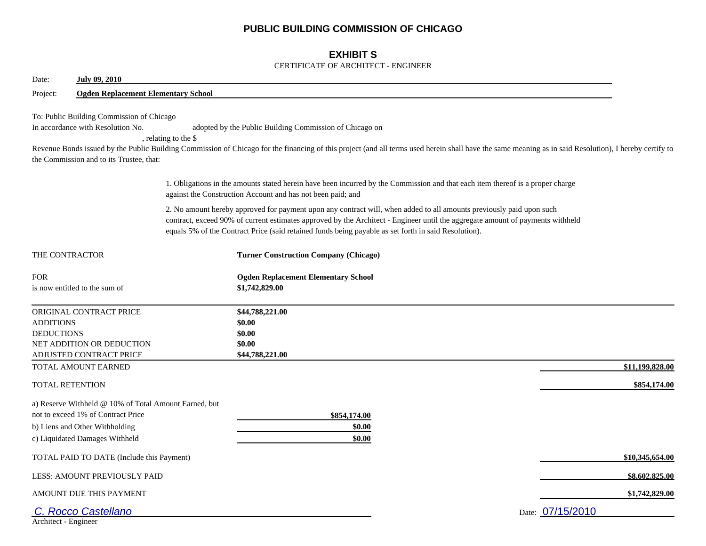## **PUBLIC BUILDING COMMISSION OF CHICAGO**

## **EXHIBIT S**

### CERTIFICATE OF ARCHITECT - ENGINEER

| Date:<br><b>July 09, 2010</b>                                                                                                                                   |                                                                                                                                                                                                                                                                                                                                                                |              |
|-----------------------------------------------------------------------------------------------------------------------------------------------------------------|----------------------------------------------------------------------------------------------------------------------------------------------------------------------------------------------------------------------------------------------------------------------------------------------------------------------------------------------------------------|--------------|
| <b>Ogden Replacement Elementary School</b><br>Project:                                                                                                          |                                                                                                                                                                                                                                                                                                                                                                |              |
| To: Public Building Commission of Chicago<br>In accordance with Resolution No.<br>the Commission and to its Trustee, that:                                      | adopted by the Public Building Commission of Chicago on<br>, relating to the \$<br>Revenue Bonds issued by the Public Building Commission of Chicago for the financing of this project (and all terms used herein shall have the same meaning as in said Resolution), I hereby certify to                                                                      |              |
|                                                                                                                                                                 | 1. Obligations in the amounts stated herein have been incurred by the Commission and that each item thereof is a proper charge<br>against the Construction Account and has not been paid; and                                                                                                                                                                  |              |
|                                                                                                                                                                 | 2. No amount hereby approved for payment upon any contract will, when added to all amounts previously paid upon such<br>contract, exceed 90% of current estimates approved by the Architect - Engineer until the aggregate amount of payments withheld<br>equals 5% of the Contract Price (said retained funds being payable as set forth in said Resolution). |              |
| THE CONTRACTOR                                                                                                                                                  | <b>Turner Construction Company (Chicago)</b>                                                                                                                                                                                                                                                                                                                   |              |
| <b>FOR</b><br>is now entitled to the sum of                                                                                                                     | <b>Ogden Replacement Elementary School</b><br>\$1,742,829.00                                                                                                                                                                                                                                                                                                   |              |
| ORIGINAL CONTRACT PRICE<br><b>ADDITIONS</b><br><b>DEDUCTIONS</b><br>NET ADDITION OR DEDUCTION<br>ADJUSTED CONTRACT PRICE                                        | \$44,788,221.00<br>\$0.00<br>\$0.00<br>\$0.00<br>\$44,788,221.00                                                                                                                                                                                                                                                                                               |              |
| TOTAL AMOUNT EARNED                                                                                                                                             | \$11,199,828.00                                                                                                                                                                                                                                                                                                                                                |              |
| <b>TOTAL RETENTION</b>                                                                                                                                          |                                                                                                                                                                                                                                                                                                                                                                | \$854,174.00 |
| a) Reserve Withheld @ 10% of Total Amount Earned, but<br>not to exceed 1% of Contract Price<br>b) Liens and Other Withholding<br>c) Liquidated Damages Withheld | \$854,174.00<br>\$0.00<br>\$0.00                                                                                                                                                                                                                                                                                                                               |              |
| TOTAL PAID TO DATE (Include this Payment)                                                                                                                       | \$10,345,654.00                                                                                                                                                                                                                                                                                                                                                |              |
| LESS: AMOUNT PREVIOUSLY PAID                                                                                                                                    | \$8,602,825.00                                                                                                                                                                                                                                                                                                                                                 |              |
| AMOUNT DUE THIS PAYMENT                                                                                                                                         | \$1,742,829.00                                                                                                                                                                                                                                                                                                                                                 |              |
| C. Rocco Castellano<br>Architect - Engineer                                                                                                                     | Date: 07/15/2010                                                                                                                                                                                                                                                                                                                                               |              |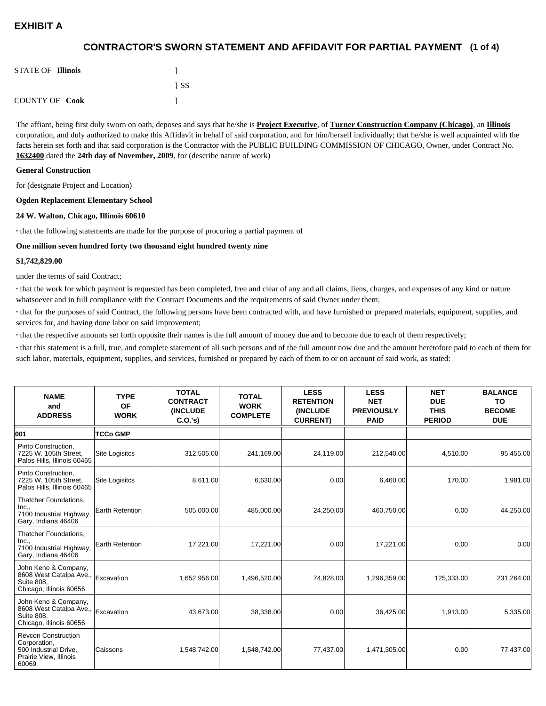## **(1 of 4) CONTRACTOR'S SWORN STATEMENT AND AFFIDAVIT FOR PARTIAL PAYMENT**

| <b>STATE OF Illinois</b> |          |
|--------------------------|----------|
|                          | $\{SS\}$ |
| <b>COUNTY OF Cook</b>    |          |

The affiant, being first duly sworn on oath, deposes and says that he/she is **Project Executive**, of **Turner Construction Company (Chicago)**, an **Illinois** corporation, and duly authorized to make this Affidavit in behalf of said corporation, and for him/herself individually; that he/she is well acquainted with the facts herein set forth and that said corporation is the Contractor with the PUBLIC BUILDING COMMISSION OF CHICAGO, Owner, under Contract No. **1632400** dated the **24th day of November, 2009**, for (describe nature of work)

#### **General Construction**

for (designate Project and Location)

#### **Ogden Replacement Elementary School**

#### **24 W. Walton, Chicago, Illinois 60610**

**·** that the following statements are made for the purpose of procuring a partial payment of

#### **One million seven hundred forty two thousand eight hundred twenty nine**

#### **\$1,742,829.00**

under the terms of said Contract;

**·** that the work for which payment is requested has been completed, free and clear of any and all claims, liens, charges, and expenses of any kind or nature whatsoever and in full compliance with the Contract Documents and the requirements of said Owner under them;

**·** that for the purposes of said Contract, the following persons have been contracted with, and have furnished or prepared materials, equipment, supplies, and services for, and having done labor on said improvement;

**·** that the respective amounts set forth opposite their names is the full amount of money due and to become due to each of them respectively;

**·** that this statement is a full, true, and complete statement of all such persons and of the full amount now due and the amount heretofore paid to each of them for such labor, materials, equipment, supplies, and services, furnished or prepared by each of them to or on account of said work, as stated:

| <b>NAME</b><br>and<br><b>ADDRESS</b>                                                                   | <b>TYPE</b><br>OF<br><b>WORK</b> | <b>TOTAL</b><br><b>CONTRACT</b><br><b>(INCLUDE)</b><br>C.O.'s | <b>TOTAL</b><br><b>WORK</b><br><b>COMPLETE</b> | <b>LESS</b><br><b>RETENTION</b><br><b>(INCLUDE</b><br><b>CURRENT)</b> | <b>LESS</b><br><b>NET</b><br><b>PREVIOUSLY</b><br><b>PAID</b> | <b>NET</b><br><b>DUE</b><br><b>THIS</b><br><b>PERIOD</b> | <b>BALANCE</b><br><b>TO</b><br><b>BECOME</b><br><b>DUE</b> |
|--------------------------------------------------------------------------------------------------------|----------------------------------|---------------------------------------------------------------|------------------------------------------------|-----------------------------------------------------------------------|---------------------------------------------------------------|----------------------------------------------------------|------------------------------------------------------------|
| 001                                                                                                    | <b>TCCo GMP</b>                  |                                                               |                                                |                                                                       |                                                               |                                                          |                                                            |
| Pinto Construction.<br>7225 W. 105th Street.<br>Palos Hills, Illinois 60465                            | <b>Site Logisitcs</b>            | 312,505.00                                                    | 241,169.00                                     | 24,119.00                                                             | 212,540.00                                                    | 4,510.00                                                 | 95,455.00                                                  |
| Pinto Construction,<br>7225 W. 105th Street.<br>Palos Hills, Illinois 60465                            | <b>Site Logisitcs</b>            | 8,611.00                                                      | 6,630.00                                       | 0.00                                                                  | 6,460.00                                                      | 170.00                                                   | 1,981.00                                                   |
| Thatcher Foundations.<br>Inc.,<br>7100 Industrial Highway,<br>Gary, Indiana 46406                      | <b>Earth Retention</b>           | 505,000.00                                                    | 485,000.00                                     | 24,250.00                                                             | 460,750.00                                                    | 0.00                                                     | 44,250.00                                                  |
| Thatcher Foundations,<br>Inc.,<br>7100 Industrial Highway,<br>Gary, Indiana 46406                      | Earth Retention                  | 17,221.00                                                     | 17,221.00                                      | 0.00                                                                  | 17,221.00                                                     | 0.00                                                     | 0.00                                                       |
| John Keno & Company,<br>8608 West Catalpa Ave.,<br>Suite 808,<br>Chicago, Illinois 60656               | Excavation                       | 1,652,956.00                                                  | 1,496,520.00                                   | 74,828.00                                                             | 1,296,359.00                                                  | 125,333.00                                               | 231,264.00                                                 |
| John Keno & Company,<br>8608 West Catalpa Ave.,<br><b>Suite 808.</b><br>Chicago, Illinois 60656        | Excavation                       | 43,673.00                                                     | 38,338.00                                      | 0.00                                                                  | 36,425.00                                                     | 1,913.00                                                 | 5,335.00                                                   |
| <b>Revcon Construction</b><br>Corporation,<br>500 Industrial Drive,<br>Prairie View, Illinois<br>60069 | Caissons                         | 1,548,742.00                                                  | 1,548,742.00                                   | 77,437.00                                                             | 1,471,305.00                                                  | 0.00                                                     | 77,437.00                                                  |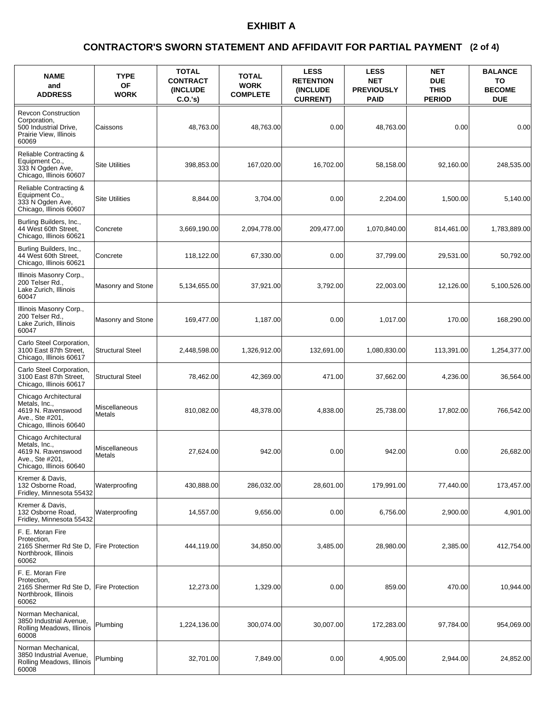### **(2 of 4) CONTRACTOR'S SWORN STATEMENT AND AFFIDAVIT FOR PARTIAL PAYMENT**

| <b>NAME</b><br>and<br><b>ADDRESS</b>                                                                       | <b>TYPE</b><br><b>OF</b><br><b>WORK</b> | <b>TOTAL</b><br><b>CONTRACT</b><br>(INCLUDE<br>C.O.'s) | <b>TOTAL</b><br><b>WORK</b><br><b>COMPLETE</b> | <b>LESS</b><br><b>RETENTION</b><br>(INCLUDE<br><b>CURRENT)</b> | <b>LESS</b><br><b>NET</b><br><b>PREVIOUSLY</b><br><b>PAID</b> | <b>NET</b><br><b>DUE</b><br><b>THIS</b><br><b>PERIOD</b> | <b>BALANCE</b><br>ΤО<br><b>BECOME</b><br><b>DUE</b> |
|------------------------------------------------------------------------------------------------------------|-----------------------------------------|--------------------------------------------------------|------------------------------------------------|----------------------------------------------------------------|---------------------------------------------------------------|----------------------------------------------------------|-----------------------------------------------------|
| Revcon Construction<br>Corporation,<br>500 Industrial Drive,<br>Prairie View, Illinois<br>60069            | Caissons                                | 48,763.00                                              | 48,763.00                                      | 0.00                                                           | 48,763.00                                                     | 0.00                                                     | 0.00                                                |
| Reliable Contracting &<br>Equipment Co.,<br>333 N Ogden Ave,<br>Chicago, Illinois 60607                    | <b>Site Utilities</b>                   | 398,853.00                                             | 167,020.00                                     | 16,702.00                                                      | 58,158.00                                                     | 92,160.00                                                | 248,535.00                                          |
| Reliable Contracting &<br>Equipment Co.,<br>333 N Ogden Ave,<br>Chicago, Illinois 60607                    | <b>Site Utilities</b>                   | 8,844.00                                               | 3,704.00                                       | 0.00                                                           | 2,204.00                                                      | 1,500.00                                                 | 5,140.00                                            |
| Burling Builders, Inc.,<br>44 West 60th Street,<br>Chicago, Illinois 60621                                 | Concrete                                | 3,669,190.00                                           | 2,094,778.00                                   | 209,477.00                                                     | 1,070,840.00                                                  | 814,461.00                                               | 1,783,889.00                                        |
| Burling Builders, Inc.,<br>44 West 60th Street,<br>Chicago, Illinois 60621                                 | Concrete                                | 118,122.00                                             | 67,330.00                                      | 0.00                                                           | 37,799.00                                                     | 29,531.00                                                | 50,792.00                                           |
| Illinois Masonry Corp.,<br>200 Telser Rd.,<br>Lake Zurich, Illinois<br>60047                               | Masonry and Stone                       | 5,134,655.00                                           | 37.921.00                                      | 3.792.00                                                       | 22,003.00                                                     | 12,126.00                                                | 5,100,526.00                                        |
| Illinois Masonry Corp.,<br>200 Telser Rd.,<br>Lake Zurich, Illinois<br>60047                               | Masonry and Stone                       | 169,477.00                                             | 1,187.00                                       | 0.00                                                           | 1,017.00                                                      | 170.00                                                   | 168,290.00                                          |
| Carlo Steel Corporation,<br>3100 East 87th Street,<br>Chicago, Illinois 60617                              | <b>Structural Steel</b>                 | 2,448,598.00                                           | 1,326,912.00                                   | 132,691.00                                                     | 1,080,830.00                                                  | 113,391.00                                               | 1,254,377.00                                        |
| Carlo Steel Corporation,<br>3100 East 87th Street,<br>Chicago, Illinois 60617                              | <b>Structural Steel</b>                 | 78,462.00                                              | 42,369.00                                      | 471.00                                                         | 37,662.00                                                     | 4,236.00                                                 | 36,564.00                                           |
| Chicago Architectural<br>Metals, Inc.,<br>4619 N. Ravenswood<br>Ave., Ste #201,<br>Chicago, Illinois 60640 | Miscellaneous<br>Metals                 | 810,082.00                                             | 48,378.00                                      | 4,838.00                                                       | 25,738.00                                                     | 17,802.00                                                | 766,542.00                                          |
| Chicago Architectural<br>Metals, Inc.,<br>4619 N. Ravenswood<br>Ave., Ste #201,<br>Chicago, Illinois 60640 | Miscellaneous<br>Metals                 | 27,624.00                                              | 942.00                                         | 0.00                                                           | 942.00                                                        | 0.00                                                     | 26,682.00                                           |
| Kremer & Davis,<br>132 Osborne Road,<br>Fridley, Minnesota 55432                                           | Waterproofing                           | 430,888.00                                             | 286,032.00                                     | 28,601.00                                                      | 179,991.00                                                    | 77,440.00                                                | 173,457.00                                          |
| Kremer & Davis,<br>132 Osborne Road,<br>Fridley, Minnesota 55432                                           | Waterproofing                           | 14,557.00                                              | 9,656.00                                       | 0.00                                                           | 6,756.00                                                      | 2,900.00                                                 | 4,901.00                                            |
| F. E. Moran Fire<br>Protection,<br>2165 Shermer Rd Ste D.<br>Northbrook, Illinois<br>60062                 | <b>Fire Protection</b>                  | 444,119.00                                             | 34,850.00                                      | 3,485.00                                                       | 28,980.00                                                     | 2,385.00                                                 | 412,754.00                                          |
| F. E. Moran Fire<br>Protection,<br>2165 Shermer Rd Ste D,<br>Northbrook, Illinois<br>60062                 | <b>Fire Protection</b>                  | 12,273.00                                              | 1,329.00                                       | 0.00                                                           | 859.00                                                        | 470.00                                                   | 10,944.00                                           |
| Norman Mechanical,<br>3850 Industrial Avenue,<br>Rolling Meadows, Illinois<br>60008                        | Plumbing                                | 1,224,136.00                                           | 300,074.00                                     | 30,007.00                                                      | 172,283.00                                                    | 97,784.00                                                | 954,069.00                                          |
| Norman Mechanical,<br>3850 Industrial Avenue,<br>Rolling Meadows, Illinois<br>60008                        | Plumbing                                | 32,701.00                                              | 7,849.00                                       | 0.00                                                           | 4,905.00                                                      | 2,944.00                                                 | 24,852.00                                           |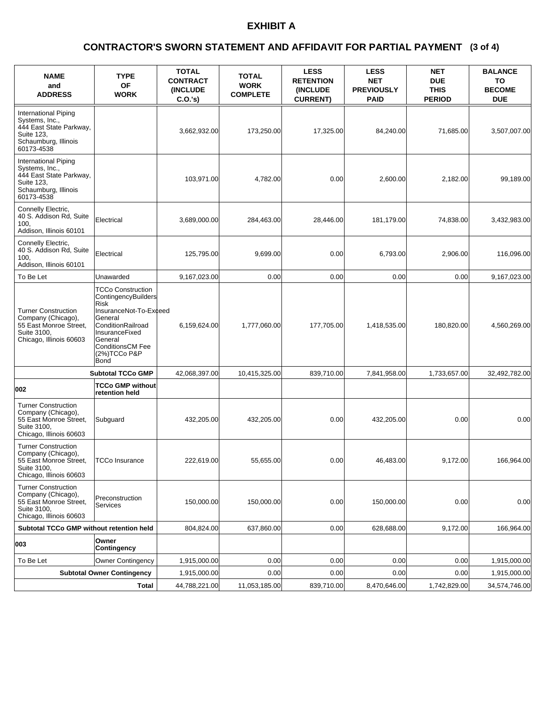### **(3 of 4) CONTRACTOR'S SWORN STATEMENT AND AFFIDAVIT FOR PARTIAL PAYMENT**

| <b>NAME</b><br>and<br><b>ADDRESS</b>                                                                                  | <b>TYPE</b><br>ΟF<br><b>WORK</b>                                                                                                                                                                  | <b>TOTAL</b><br><b>CONTRACT</b><br><b>(INCLUDE)</b><br>C.O.'s) | <b>TOTAL</b><br><b>WORK</b><br><b>COMPLETE</b> | <b>LESS</b><br><b>RETENTION</b><br>(INCLUDE<br><b>CURRENT)</b> | <b>LESS</b><br><b>NET</b><br><b>PREVIOUSLY</b><br><b>PAID</b> | <b>NET</b><br><b>DUE</b><br><b>THIS</b><br><b>PERIOD</b> | <b>BALANCE</b><br>ΤО<br><b>BECOME</b><br><b>DUE</b> |
|-----------------------------------------------------------------------------------------------------------------------|---------------------------------------------------------------------------------------------------------------------------------------------------------------------------------------------------|----------------------------------------------------------------|------------------------------------------------|----------------------------------------------------------------|---------------------------------------------------------------|----------------------------------------------------------|-----------------------------------------------------|
| International Piping<br>Systems, Inc.,<br>444 East State Parkway,<br>Suite 123,<br>Schaumburg, Illinois<br>60173-4538 |                                                                                                                                                                                                   | 3,662,932.00                                                   | 173,250.00                                     | 17,325.00                                                      | 84,240.00                                                     | 71,685.00                                                | 3,507,007.00                                        |
| International Piping<br>Systems, Inc.,<br>444 East State Parkway,<br>Suite 123,<br>Schaumburg, Illinois<br>60173-4538 |                                                                                                                                                                                                   | 103.971.00                                                     | 4,782.00                                       | 0.00                                                           | 2,600.00                                                      | 2,182.00                                                 | 99,189.00                                           |
| Connelly Electric,<br>40 S. Addison Rd, Suite<br>100.<br>Addison, Illinois 60101                                      | Electrical                                                                                                                                                                                        | 3,689,000.00                                                   | 284,463.00                                     | 28,446.00                                                      | 181,179.00                                                    | 74,838.00                                                | 3,432,983.00                                        |
| Connelly Electric,<br>40 S. Addison Rd, Suite<br>100.<br>Addison, Illinois 60101                                      | Electrical                                                                                                                                                                                        | 125,795.00                                                     | 9,699.00                                       | 0.00                                                           | 6,793.00                                                      | 2,906.00                                                 | 116,096.00                                          |
| To Be Let                                                                                                             | Unawarded                                                                                                                                                                                         | 9,167,023.00                                                   | 0.00                                           | 0.00                                                           | 0.00                                                          | 0.00                                                     | 9,167,023.00                                        |
| <b>Turner Construction</b><br>Company (Chicago),<br>55 East Monroe Street,<br>Suite 3100,<br>Chicago, Illinois 60603  | <b>TCCo Construction</b><br>ContingencyBuilders<br><b>Risk</b><br>InsuranceNot-To-Exceed<br>General<br>ConditionRailroad<br>InsuranceFixed<br>General<br>ConditionsCM Fee<br>(2%)TCCo P&P<br>Bond | 6,159,624.00                                                   | 1,777,060.00                                   | 177,705.00                                                     | 1,418,535.00                                                  | 180,820.00                                               | 4,560,269.00                                        |
|                                                                                                                       | <b>Subtotal TCCo GMP</b>                                                                                                                                                                          | 42,068,397.00                                                  | 10,415,325.00                                  | 839,710.00                                                     | 7,841,958.00                                                  | 1,733,657.00                                             | 32,492,782.00                                       |
| 002                                                                                                                   | <b>TCCo GMP without</b><br>retention held                                                                                                                                                         |                                                                |                                                |                                                                |                                                               |                                                          |                                                     |
| <b>Turner Construction</b><br>Company (Chicago),<br>55 East Monroe Street,<br>Suite 3100,<br>Chicago, Illinois 60603  | Subguard                                                                                                                                                                                          | 432,205.00                                                     | 432,205.00                                     | 0.00                                                           | 432,205.00                                                    | 0.00                                                     | 0.00                                                |
| <b>Turner Construction</b><br>Company (Chicago),<br>55 East Monroe Street,<br>Suite 3100,<br>Chicago, Illinois 60603  | <b>TCCo Insurance</b>                                                                                                                                                                             | 222,619.00                                                     | 55,655.00                                      | 0.00                                                           | 46,483.00                                                     | 9,172.00                                                 | 166,964.00                                          |
| <b>Turner Construction</b><br>Company (Chicago),<br>55 East Monroe Street,<br>Suite 3100,<br>Chicago, Illinois 60603  | Preconstruction<br><b>Services</b>                                                                                                                                                                | 150,000.00                                                     | 150,000.00                                     | 0.00                                                           | 150,000.00                                                    | 0.00                                                     | 0.00                                                |
| Subtotal TCCo GMP without retention held                                                                              |                                                                                                                                                                                                   | 804,824.00                                                     | 637,860.00                                     | 0.00                                                           | 628,688.00                                                    | 9,172.00                                                 | 166,964.00                                          |
| 003                                                                                                                   | Owner<br>Contingency                                                                                                                                                                              |                                                                |                                                |                                                                |                                                               |                                                          |                                                     |
| To Be Let                                                                                                             | <b>Owner Contingency</b>                                                                                                                                                                          | 1,915,000.00                                                   | 0.00                                           | 0.00                                                           | 0.00                                                          | 0.00                                                     | 1,915,000.00                                        |
|                                                                                                                       | <b>Subtotal Owner Contingency</b>                                                                                                                                                                 | 1,915,000.00                                                   | 0.00                                           | 0.00                                                           | 0.00                                                          | 0.00                                                     | 1,915,000.00                                        |
|                                                                                                                       | Total                                                                                                                                                                                             | 44,788,221.00                                                  | 11,053,185.00                                  | 839,710.00                                                     | 8,470,646.00                                                  | 1,742,829.00                                             | 34,574,746.00                                       |